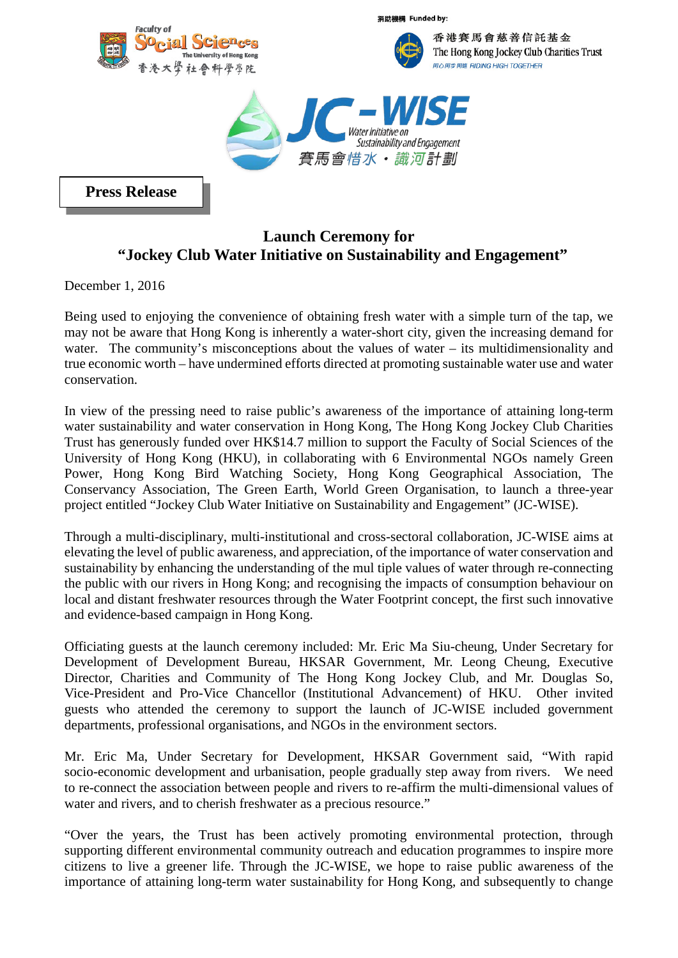

捐助機構 Funded by:



香港賽馬會慈善信託基金 The Hong Kong Jockey Club Charities Trust 同心同步同進 RIDING HIGH TOGETHER



**Press Release**

## **Launch Ceremony for "Jockey Club Water Initiative on Sustainability and Engagement"**

December 1, 2016

Being used to enjoying the convenience of obtaining fresh water with a simple turn of the tap, we may not be aware that Hong Kong is inherently a water-short city, given the increasing demand for water. The community's misconceptions about the values of water – its multidimensionality and true economic worth – have undermined efforts directed at promoting sustainable water use and water conservation.

In view of the pressing need to raise public's awareness of the importance of attaining long-term water sustainability and water conservation in Hong Kong, The Hong Kong Jockey Club Charities Trust has generously funded over HK\$14.7 million to support the Faculty of Social Sciences of the University of Hong Kong (HKU), in collaborating with 6 Environmental NGOs namely Green Power, Hong Kong Bird Watching Society, Hong Kong Geographical Association, The Conservancy Association, The Green Earth, World Green Organisation, to launch a three-year project entitled "Jockey Club Water Initiative on Sustainability and Engagement" (JC-WISE).

Through a multi-disciplinary, multi-institutional and cross-sectoral collaboration, JC-WISE aims at elevating the level of public awareness, and appreciation, of the importance of water conservation and sustainability by enhancing the understanding of the mul tiple values of water through re-connecting the public with our rivers in Hong Kong; and recognising the impacts of consumption behaviour on local and distant freshwater resources through the Water Footprint concept, the first such innovative and evidence-based campaign in Hong Kong.

Officiating guests at the launch ceremony included: Mr. Eric Ma Siu-cheung, Under Secretary for Development of Development Bureau, HKSAR Government, Mr. Leong Cheung, Executive Director, Charities and Community of The Hong Kong Jockey Club, and Mr. Douglas So, Vice-President and Pro-Vice Chancellor (Institutional Advancement) of HKU. Other invited guests who attended the ceremony to support the launch of JC-WISE included government departments, professional organisations, and NGOs in the environment sectors.

Mr. Eric Ma, Under Secretary for Development, HKSAR Government said, "With rapid socio-economic development and urbanisation, people gradually step away from rivers. We need to re-connect the association between people and rivers to re-affirm the multi-dimensional values of water and rivers, and to cherish freshwater as a precious resource."

"Over the years, the Trust has been actively promoting environmental protection, through supporting different environmental community outreach and education programmes to inspire more citizens to live a greener life. Through the JC-WISE, we hope to raise public awareness of the importance of attaining long-term water sustainability for Hong Kong, and subsequently to change